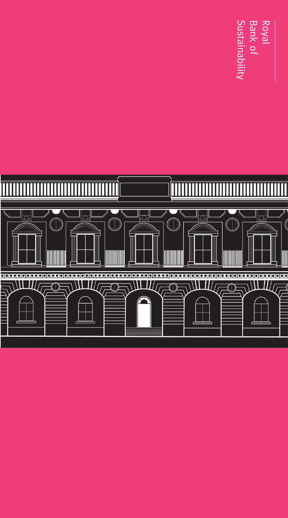Royal<br>Bank of<br>Sustainability

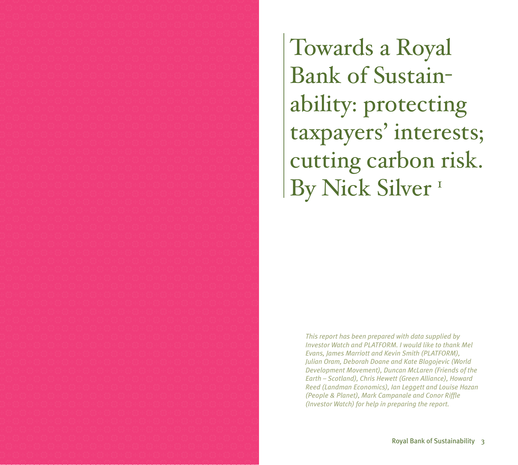Towards a Royal Bank of Sustainability: protecting taxpayers' interests; cutting carbon risk. By Nick Silver<sup>1</sup>

> *This report has been prepared with data supplied by Investor Watch and PLATFORM. I would like to thank Mel Evans, James Marriott and Kevin Smith (PLATFORM), Julian Oram, Deborah Doane and Kate Blagojevic (World Development Movement), Duncan McLaren (Friends of the Earth – Scotland), Chris Hewett (Green Alliance), Howard Reed (Landman Economics), Ian Leggett and Louise Hazan (People & Planet), Mark Campanale and Conor Riffle (Investor Watch) for help in preparing the report.*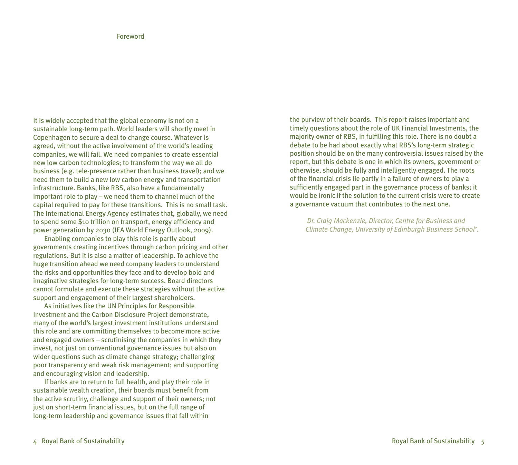# Foreword

It is widely accepted that the global economy is not on a sustainable long-term path. World leaders will shortly meet in Copenhagen to secure a deal to change course. Whatever is agreed, without the active involvement of the world's leading companies, we will fail. We need companies to create essential new low carbon technologies; to transform the way we all do business (e.g. tele-presence rather than business travel); and we need them to build a new low carbon energy and transportation infrastructure. Banks, like RBS, also have a fundamentally important role to play – we need them to channel much of the capital required to pay for these transitions. This is no small task. The International Energy Agency estimates that, globally, we need to spend some \$10 trillion on transport, energy efficiency and power generation by 2030 (IEA World Energy Outlook, 2009).

Enabling companies to play this role is partly about governments creating incentives through carbon pricing and other regulations. But it is also a matter of leadership. To achieve the huge transition ahead we need company leaders to understand the risks and opportunities they face and to develop bold and imaginative strategies for long-term success. Board directors cannot formulate and execute these strategies without the active support and engagement of their largest shareholders.

As initiatives like the UN Principles for Responsible Investment and the Carbon Disclosure Project demonstrate, many of the world's largest investment institutions understand this role and are committing themselves to become more active and engaged owners – scrutinising the companies in which they invest, not just on conventional governance issues but also on wider questions such as climate change strategy; challenging poor transparency and weak risk management; and supporting and encouraging vision and leadership.

If banks are to return to full health, and play their role in sustainable wealth creation, their boards must benefit from the active scrutiny, challenge and support of their owners; not just on short-term financial issues, but on the full range of long-term leadership and governance issues that fall within

the purview of their boards. This report raises important and timely questions about the role of UK Financial Investments, the majority owner of RBS, in fulfilling this role. There is no doubt a debate to be had about exactly what RBS's long-term strategic position should be on the many controversial issues raised by the report, but this debate is one in which its owners, government or otherwise, should be fully and intelligently engaged. The roots of the financial crisis lie partly in a failure of owners to play a sufficiently engaged part in the governance process of banks; it would be ironic if the solution to the current crisis were to create a governance vacuum that contributes to the next one.

*Dr. Craig Mackenzie, Director, Centre for Business and Climate Change, University of Edinburgh Business School2 .*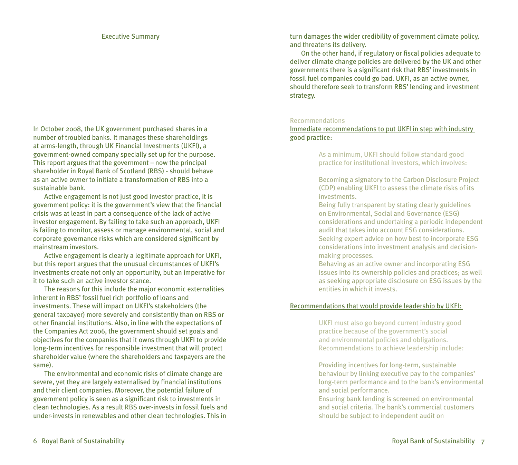### Executive Summary

In October 2008, the UK government purchased shares in a number of troubled banks. It manages these shareholdings at arms-length, through UK Financial Investments (UKFI), a government-owned company specially set up for the purpose. This report argues that the government – now the principal shareholder in Royal Bank of Scotland (RBS) - should behave as an active owner to initiate a transformation of RBS into a sustainable bank.

Active engagement is not just good investor practice, it is government policy: it is the government's view that the financial crisis was at least in part a consequence of the lack of active investor engagement. By failing to take such an approach, UKFI is failing to monitor, assess or manage environmental, social and corporate governance risks which are considered significant by mainstream investors.

Active engagement is clearly a legitimate approach for UKFI, but this report argues that the unusual circumstances of UKFI's investments create not only an opportunity, but an imperative for it to take such an active investor stance.

The reasons for this include the major economic externalities inherent in RBS' fossil fuel rich portfolio of loans and investments. These will impact on UKFI's stakeholders (the general taxpayer) more severely and consistently than on RBS or other financial institutions. Also, in line with the expectations of the Companies Act 2006, the government should set goals and objectives for the companies that it owns through UKFI to provide long-term incentives for responsible investment that will protect shareholder value (where the shareholders and taxpayers are the same).

The environmental and economic risks of climate change are severe, yet they are largely externalised by financial institutions and their client companies. Moreover, the potential failure of government policy is seen as a significant risk to investments in clean technologies. As a result RBS over-invests in fossil fuels and under-invests in renewables and other clean technologies. This in

turn damages the wider credibility of government climate policy, and threatens its delivery.

On the other hand, if regulatory or fiscal policies adequate to deliver climate change policies are delivered by the UK and other governments there is a significant risk that RBS' investments in fossil fuel companies could go bad. UKFI, as an active owner, should therefore seek to transform RBS' lending and investment strategy.

#### Recommendations

Immediate recommendations to put UKFI in step with industry good practice:

> As a minimum, UKFI should follow standard good practice for institutional investors, which involves:

Becoming a signatory to the Carbon Disclosure Project (CDP) enabling UKFI to assess the climate risks of its investments.

Being fully transparent by stating clearly guidelines on Environmental, Social and Governance (ESG) considerations and undertaking a periodic independent audit that takes into account ESG considerations. Seeking expert advice on how best to incorporate ESG considerations into investment analysis and decisionmaking processes.

Behaving as an active owner and incorporating ESG issues into its ownership policies and practices; as well as seeking appropriate disclosure on ESG issues by the entities in which it invests.

### Recommendations that would provide leadership by UKFI:

UKFI must also go beyond current industry good practice because of the government's social and environmental policies and obligations. Recommendations to achieve leadership include:

Providing incentives for long-term, sustainable behaviour by linking executive pay to the companies' long-term performance and to the bank's environmental and social performance.

Ensuring bank lending is screened on environmental and social criteria. The bank's commercial customers should be subject to independent audit on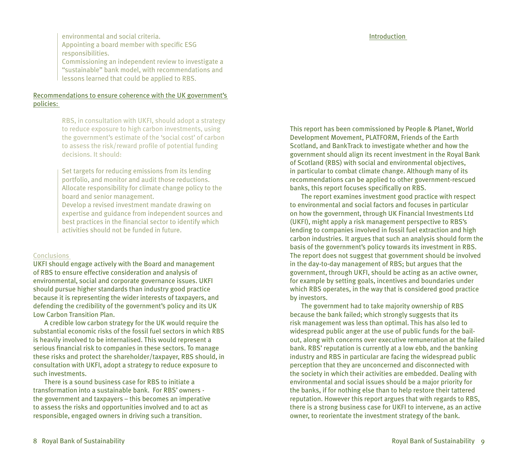environmental and social criteria. Appointing a board member with specific ESG responsibilities.

Commissioning an independent review to investigate a "sustainable" bank model, with recommendations and lessons learned that could be applied to RBS.

# Recommendations to ensure coherence with the UK government's policies:

RBS, in consultation with UKFI, should adopt a strategy to reduce exposure to high carbon investments, using the government's estimate of the 'social cost' of carbon to assess the risk/reward profile of potential funding decisions. It should:

Set targets for reducing emissions from its lending portfolio, and monitor and audit those reductions. Allocate responsibility for climate change policy to the board and senior management.

Develop a revised investment mandate drawing on expertise and guidance from independent sources and best practices in the financial sector to identify which activities should not be funded in future.

#### Conclusions

UKFI should engage actively with the Board and management of RBS to ensure effective consideration and analysis of environmental, social and corporate governance issues. UKFI should pursue higher standards than industry good practice because it is representing the wider interests of taxpayers, and defending the credibility of the government's policy and its UK Low Carbon Transition Plan.

A credible low carbon strategy for the UK would require the substantial economic risks of the fossil fuel sectors in which RBS is heavily involved to be internalised. This would represent a serious financial risk to companies in these sectors. To manage these risks and protect the shareholder/taxpayer, RBS should, in consultation with UKFI, adopt a strategy to reduce exposure to such investments.

There is a sound business case for RBS to initiate a transformation into a sustainable bank. For RBS' owners the government and taxpayers – this becomes an imperative to assess the risks and opportunities involved and to act as responsible, engaged owners in driving such a transition.

This report has been commissioned by People & Planet, World Development Movement, PLATFORM, Friends of the Earth Scotland, and BankTrack to investigate whether and how the government should align its recent investment in the Royal Bank of Scotland (RBS) with social and environmental objectives, in particular to combat climate change. Although many of its recommendations can be applied to other government-rescued banks, this report focuses specifically on RBS.

The report examines investment good practice with respect to environmental and social factors and focuses in particular on how the government, through UK Financial Investments Ltd (UKFI), might apply a risk management perspective to RBS's lending to companies involved in fossil fuel extraction and high carbon industries. It argues that such an analysis should form the basis of the government's policy towards its investment in RBS. The report does not suggest that government should be involved in the day-to-day management of RBS; but argues that the government, through UKFI, should be acting as an active owner, for example by setting goals, incentives and boundaries under which RBS operates, in the way that is considered good practice by investors.

The government had to take majority ownership of RBS because the bank failed; which strongly suggests that its risk management was less than optimal. This has also led to widespread public anger at the use of public funds for the bailout, along with concerns over executive remuneration at the failed bank. RBS' reputation is currently at a low ebb, and the banking industry and RBS in particular are facing the widespread public perception that they are unconcerned and disconnected with the society in which their activities are embedded. Dealing with environmental and social issues should be a major priority for the banks, if for nothing else than to help restore their tattered reputation. However this report argues that with regards to RBS, there is a strong business case for UKFI to intervene, as an active owner, to reorientate the investment strategy of the bank.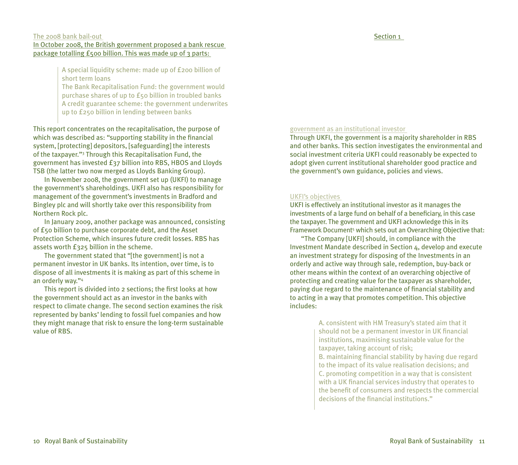#### Section 1

### The 2008 bank bail-out

### In October 2008, the British government proposed a bank rescue package totalling £500 billion. This was made up of 3 parts:

A special liquidity scheme: made up of £200 billion of short term loans

The Bank Recapitalisation Fund: the government would purchase shares of up to £50 billion in troubled banks A credit guarantee scheme: the government underwrites up to £250 billion in lending between banks

This report concentrates on the recapitalisation, the purpose of which was described as: "supporting stability in the financial system, [protecting] depositors, [safeguarding] the interests of the taxpayer."3 Through this Recapitalisation Fund, the government has invested £37 billion into RBS, HBOS and Lloyds TSB (the latter two now merged as Lloyds Banking Group).

In November 2008, the government set up (UKFI) to manage the government's shareholdings. UKFI also has responsibility for management of the government's investments in Bradford and Bingley plc and will shortly take over this responsibility from Northern Rock plc.

In January 2009, another package was announced, consisting of £50 billion to purchase corporate debt, and the Asset Protection Scheme, which insures future credit losses. RBS has assets worth £325 billion in the scheme.

The government stated that "[the government] is not a permanent investor in UK banks. Its intention, over time, is to dispose of all investments it is making as part of this scheme in an orderly way."4

This report is divided into 2 sections; the first looks at how the government should act as an investor in the banks with respect to climate change. The second section examines the risk represented by banks' lending to fossil fuel companies and how they might manage that risk to ensure the long-term sustainable value of RBS.

#### government as an institutional investor

Through UKFI, the government is a majority shareholder in RBS and other banks. This section investigates the environmental and social investment criteria UKFI could reasonably be expected to adopt given current institutional shareholder good practice and the government's own guidance, policies and views.

#### UKFI's objectives

UKFI is effectively an institutional investor as it manages the investments of a large fund on behalf of a beneficiary, in this case the taxpayer. The government and UKFI acknowledge this in its Framework Document<sup>5</sup> which sets out an Overarching Objective that:

"The Company [UKFI] should, in compliance with the Investment Mandate described in Section 4, develop and execute an investment strategy for disposing of the Investments in an orderly and active way through sale, redemption, buy-back or other means within the context of an overarching objective of protecting and creating value for the taxpayer as shareholder, paying due regard to the maintenance of financial stability and to acting in a way that promotes competition. This objective includes:

> A. consistent with HM Treasury's stated aim that it should not be a permanent investor in UK financial institutions, maximising sustainable value for the taxpayer, taking account of risk;

B. maintaining financial stability by having due regard to the impact of its value realisation decisions; and C. promoting competition in a way that is consistent with a UK financial services industry that operates to the benefit of consumers and respects the commercial decisions of the financial institutions."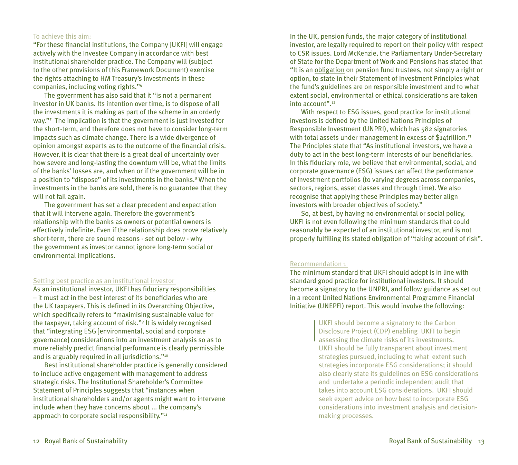# To achieve this aim:

"For these financial institutions, the Company [UKFI] will engage actively with the Investee Company in accordance with best institutional shareholder practice. The Company will (subject to the other provisions of this Framework Document) exercise the rights attaching to HM Treasury's Investments in these companies, including voting rights."6

The government has also said that it "is not a permanent investor in UK banks. Its intention over time, is to dispose of all the investments it is making as part of the scheme in an orderly way."7 The implication is that the government is just invested for the short-term, and therefore does not have to consider long-term impacts such as climate change. There is a wide divergence of opinion amongst experts as to the outcome of the financial crisis. However, it is clear that there is a great deal of uncertainty over how severe and long-lasting the downturn will be, what the limits of the banks' losses are, and when or if the government will be in a position to "dispose" of its investments in the banks.<sup>8</sup> When the investments in the banks are sold, there is no guarantee that they will not fail again.

The government has set a clear precedent and expectation that it will intervene again. Therefore the government's relationship with the banks as owners or potential owners is effectively indefinite. Even if the relationship does prove relatively short-term, there are sound reasons - set out below - why the government as investor cannot ignore long-term social or environmental implications.

#### Setting best practice as an institutional investor

As an institutional investor, UKFI has fiduciary responsibilities – it must act in the best interest of its beneficiaries who are the UK taxpayers. This is defined in its Overarching Objective, which specifically refers to "maximising sustainable value for the taxpayer, taking account of risk."9 It is widely recognised that "integrating ESG [environmental, social and corporate governance] considerations into an investment analysis so as to more reliably predict financial performance is clearly permissible and is arguably required in all jurisdictions."<sup>10</sup>

Best institutional shareholder practice is generally considered to include active engagement with management to address strategic risks. The Institutional Shareholder's Committee Statement of Principles suggests that "instances when institutional shareholders and/or agents might want to intervene include when they have concerns about ... the company's approach to corporate social responsibility."<sup>11</sup>

In the UK, pension funds, the major category of institutional investor, are legally required to report on their policy with respect to CSR issues. Lord McKenzie, the Parliamentary Under-Secretary of State for the Department of Work and Pensions has stated that "It is an obligation on pension fund trustees, not simply a right or option, to state in their Statement of Investment Principles what the fund's guidelines are on responsible investment and to what extent social, environmental or ethical considerations are taken  $into$  account" $12$ 

With respect to ESG issues, good practice for institutional investors is defined by the United Nations Principles of Responsible Investment (UNPRI), which has 582 signatories with total assets under management in excess of \$14trillion.<sup>13</sup> The Principles state that "As institutional investors, we have a duty to act in the best long-term interests of our beneficiaries. In this fiduciary role, we believe that environmental, social, and corporate governance (ESG) issues can affect the performance of investment portfolios (to varying degrees across companies, sectors, regions, asset classes and through time). We also recognise that applying these Principles may better align investors with broader objectives of society."

So, at best, by having no environmental or social policy, UKFI is not even following the minimum standards that could reasonably be expected of an institutional investor, and is not properly fulfilling its stated obligation of "taking account of risk".

# Recommendation 1

The minimum standard that UKFI should adopt is in line with standard good practice for institutional investors. It should become a signatory to the UNPRI, and follow guidance as set out in a recent United Nations Environmental Programme Financial Initiative (UNEPFI) report. This would involve the following:

> UKFI should become a signatory to the Carbon Disclosure Project (CDP) enabling UKFI to begin assessing the climate risks of its investments. UKFI should be fully transparent about investment strategies pursued, including to what extent such strategies incorporate ESG considerations; it should also clearly state its guidelines on ESG considerations and undertake a periodic independent audit that takes into account ESG considerations. UKFI should seek expert advice on how best to incorporate ESG considerations into investment analysis and decisionmaking processes.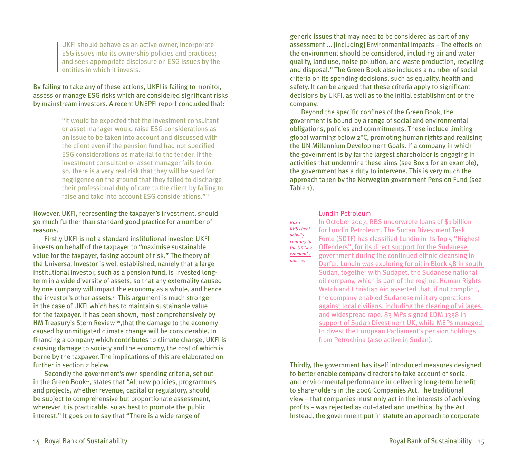UKFI should behave as an active owner, incorporate ESG issues into its ownership policies and practices; and seek appropriate disclosure on ESG issues by the entities in which it invests.

# By failing to take any of these actions, UKFI is failing to monitor, assess or manage ESG risks which are considered significant risks by mainstream investors. A recent UNEPFI report concluded that:

"it would be expected that the investment consultant or asset manager would raise ESG considerations as an issue to be taken into account and discussed with the client even if the pension fund had not specified ESG considerations as material to the tender. If the investment consultant or asset manager fails to do so, there is a very real risk that they will be sued for negligence on the ground that they failed to discharge their professional duty of care to the client by failing to raise and take into account ESG considerations."14

# However, UKFI, representing the taxpayer's investment, should go much further than standard good practice for a number of reasons.

Firstly UKFI is not a standard institutional investor: UKFI invests on behalf of the taxpayer to "maximise sustainable value for the taxpayer, taking account of risk." The theory of the Universal Investor is well established, namely that a large institutional investor, such as a pension fund, is invested longterm in a wide diversity of assets, so that any externality caused by one company will impact the economy as a whole, and hence the investor's other assets.<sup>15</sup> This argument is much stronger in the case of UKFI which has to maintain sustainable value for the taxpayer. It has been shown, most comprehensively by HM Treasury's Stern Review <sup>16</sup>, that the damage to the economy caused by unmitigated climate change will be considerable. In financing a company which contributes to climate change, UKFI is causing damage to society and the economy, the cost of which is borne by the taxpayer. The implications of this are elaborated on further in section 2 below.

Secondly the government's own spending criteria, set out in the Green Book<sup>17</sup>, states that "All new policies, programmes and projects, whether revenue, capital or regulatory, should be subject to comprehensive but proportionate assessment, wherever it is practicable, so as best to promote the public interest." It goes on to say that "There is a wide range of

generic issues that may need to be considered as part of any assessment ... [including] Environmental impacts – The effects on the environment should be considered, including air and water quality, land use, noise pollution, and waste production, recycling and disposal." The Green Book also includes a number of social criteria on its spending decisions, such as equality, health and safety. It can be argued that these criteria apply to significant decisions by UKFI, as well as to the initial establishment of the company.

Beyond the specific confines of the Green Book, the government is bound by a range of social and environmental obligations, policies and commitments. These include limiting global warming below 2°C, promoting human rights and realising the UN Millennium Development Goals. If a company in which the government is by far the largest shareholder is engaging in activities that undermine these aims (see Box 1 for an example), the government has a duty to intervene. This is very much the approach taken by the Norwegian government Pension Fund (see Table 1).

Lundin Petroleum

| Box 1<br><b>RBS</b> client<br>activity<br>contrary to<br>the UK Gov-<br>ernment's<br>policies | In October 2007, RBS underwrote loans of \$1 billion<br>for Lundin Petroleum. The Sudan Divestment Task<br>Force (SDTF) has classified Lundin in its Top 5 "Highest<br>Offenders", for its direct support for the Sudanese<br>government during the continued ethnic cleansing in<br>Darfur. Lundin was exploring for oil in Block 5B in south<br>Sudan, together with Sudapet, the Sudanese national<br>oil company, which is part of the regime. Human Rights<br>Watch and Christian Aid asserted that, if not complicit,<br>the company enabled Sudanese military operations<br>against local civilians, including the clearing of villages<br>and widespread rape. 83 MPs signed EDM 1338 in<br>support of Sudan Divestment UK, while MEPs managed<br>to divest the European Parliament's pension holdings |
|-----------------------------------------------------------------------------------------------|----------------------------------------------------------------------------------------------------------------------------------------------------------------------------------------------------------------------------------------------------------------------------------------------------------------------------------------------------------------------------------------------------------------------------------------------------------------------------------------------------------------------------------------------------------------------------------------------------------------------------------------------------------------------------------------------------------------------------------------------------------------------------------------------------------------|
|                                                                                               | from Petrochina (also active in Sudan).                                                                                                                                                                                                                                                                                                                                                                                                                                                                                                                                                                                                                                                                                                                                                                        |

Thirdly, the government has itself introduced measures designed to better enable company directors to take account of social and environmental performance in delivering long-term benefit to shareholders in the 2006 Companies Act. The traditional view – that companies must only act in the interests of achieving profits – was rejected as out-dated and unethical by the Act. Instead, the government put in statute an approach to corporate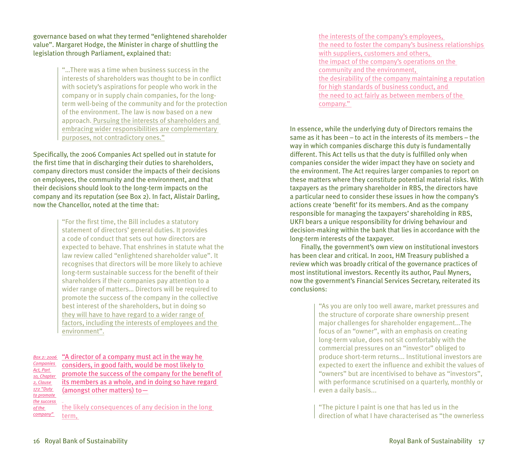governance based on what they termed "enlightened shareholder value". Margaret Hodge, the Minister in charge of shuttling the legislation through Parliament, explained that:

> "…There was a time when business success in the interests of shareholders was thought to be in conflict with society's aspirations for people who work in the company or in supply chain companies, for the longterm well-being of the community and for the protection of the environment. The law is now based on a new approach. Pursuing the interests of shareholders and embracing wider responsibilities are complementary purposes, not contradictory ones."

Specifically, the 2006 Companies Act spelled out in statute for the first time that in discharging their duties to shareholders, company directors must consider the impacts of their decisions on employees, the community and the environment, and that their decisions should look to the long-term impacts on the company and its reputation (see Box 2). In fact, Alistair Darling, now the Chancellor, noted at the time that:

> "For the first time, the Bill includes a statutory statement of directors' general duties. It provides a code of conduct that sets out how directors are expected to behave. That enshrines in statute what the law review called "enlightened shareholder value". It recognises that directors will be more likely to achieve long-term sustainable success for the benefit of their shareholders if their companies pay attention to a wider range of matters... Directors will be required to promote the success of the company in the collective best interest of the shareholders, but in doing so they will have to have regard to a wider range of factors, including the interests of employees and the environment".

"A director of a company must act in the way he *Box 2: 2006*  considers, in good faith, would be most likely to promote the success of the company for the benefit of its members as a whole, and in doing so have regard (amongst other matters) to— *Companies Act, Part 10, Chapter 2, Clause 172 "Duty to promote the success of the* 

the likely consequences of any decision in the long term, *company"* 

the interests of the company's employees, the need to foster the company's business relationships with suppliers, customers and others, the impact of the company's operations on the community and the environment, the desirability of the company maintaining a reputation for high standards of business conduct, and the need to act fairly as between members of the company."

In essence, while the underlying duty of Directors remains the same as it has been – to act in the interests of its members – the way in which companies discharge this duty is fundamentally different. This Act tells us that the duty is fulfilled only when companies consider the wider impact they have on society and the environment. The Act requires larger companies to report on these matters where they constitute potential material risks. With taxpayers as the primary shareholder in RBS, the directors have a particular need to consider these issues in how the company's actions create 'benefit' for its members. And as the company responsible for managing the taxpayers' shareholding in RBS, UKFI bears a unique responsibility for driving behaviour and decision-making within the bank that lies in accordance with the long-term interests of the taxpayer.

Finally, the government's own view on institutional investors has been clear and critical. In 2001, HM Treasury published a review which was broadly critical of the governance practices of most institutional investors. Recently its author, Paul Myners, now the government's Financial Services Secretary, reiterated its conclusions:

> "As you are only too well aware, market pressures and the structure of corporate share ownership present major challenges for shareholder engagement...The focus of an "owner", with an emphasis on creating long-term value, does not sit comfortably with the commercial pressures on an "investor" obliged to produce short-term returns... Institutional investors are expected to exert the influence and exhibit the values of "owners" but are incentivised to behave as "investors", with performance scrutinised on a quarterly, monthly or even a daily basis...

"The picture I paint is one that has led us in the direction of what I have characterised as "the ownerless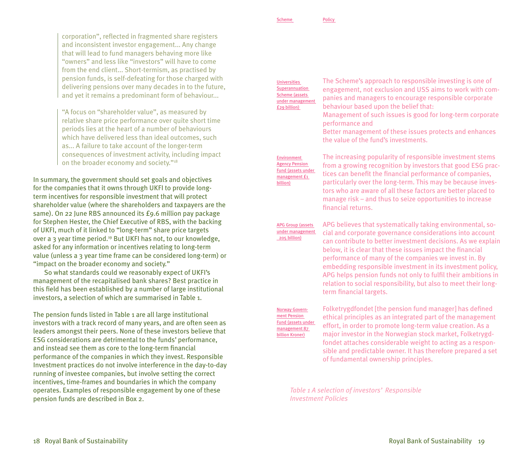corporation", reflected in fragmented share registers and inconsistent investor engagement... Any change that will lead to fund managers behaving more like "owners" and less like "investors" will have to come from the end client... Short-termism, as practised by pension funds, is self-defeating for those charged with delivering pensions over many decades in to the future, and yet it remains a predominant form of behaviour...

"A focus on "shareholder value", as measured by relative share price performance over quite short time periods lies at the heart of a number of behaviours which have delivered less than ideal outcomes, such as... A failure to take account of the longer-term consequences of investment activity, including impact on the broader economy and society."<sup>18</sup>

In summary, the government should set goals and objectives for the companies that it owns through UKFI to provide longterm incentives for responsible investment that will protect shareholder value (where the shareholders and taxpayers are the same). On 22 June RBS announced its £9.6 million pay package for Stephen Hester, the Chief Executive of RBS, with the backing of UKFI, much of it linked to "long-term" share price targets over a 3 year time period.<sup>19</sup> But UKFI has not, to our knowledge. asked for any information or incentives relating to long-term value (unless a 3 year time frame can be considered long-term) or "impact on the broader economy and society."

So what standards could we reasonably expect of UKFI's management of the recapitalised bank shares? Best practice in this field has been established by a number of large institutional investors, a selection of which are summarised in Table 1.

The pension funds listed in Table 1 are all large institutional investors with a track record of many years, and are often seen as leaders amongst their peers. None of these investors believe that ESG considerations are detrimental to the funds' performance, and instead see them as core to the long-term financial performance of the companies in which they invest. Responsible Investment practices do not involve interference in the day-to-day running of investee companies, but involve setting the correct incentives, time-frames and boundaries in which the company operates. Examples of responsible engagement by one of these pension funds are described in Box 2.

Scheme Policy

Universities **Superannuation** Scheme (assets under management £29 billion)

The Scheme's approach to responsible investing is one of engagement, not exclusion and USS aims to work with companies and managers to encourage responsible corporate behaviour based upon the belief that:

Management of such issues is good for long-term corporate performance and

Better management of these issues protects and enhances the value of the fund's investments.

Environment Agency Pension Fund (assets under management £1 billion)

The increasing popularity of responsible investment stems from a growing recognition by investors that good ESG practices can benefit the financial performance of companies, particularly over the long-term. This may be because investors who are aware of all these factors are better placed to manage risk – and thus to seize opportunities to increase financial returns.

APG Group (assets under management 205 billion)

APG believes that systematically taking environmental, social and corporate governance considerations into account can contribute to better investment decisions. As we explain below, it is clear that these issues impact the financial performance of many of the companies we invest in. By embedding responsible investment in its investment policy, APG helps pension funds not only to fulfil their ambitions in relation to social responsibility, but also to meet their longterm financial targets.

Norway Government Pension und (assets under management 87 billion Kroner)

Folketrygdfondet [the pension fund manager] has defined ethical principles as an integrated part of the management effort, in order to promote long-term value creation. As a major investor in the Norwegian stock market, Folketrygdfondet attaches considerable weight to acting as a responsible and predictable owner. It has therefore prepared a set of fundamental ownership principles.

*Table 1 A selection of investors' Responsible Investment Policies*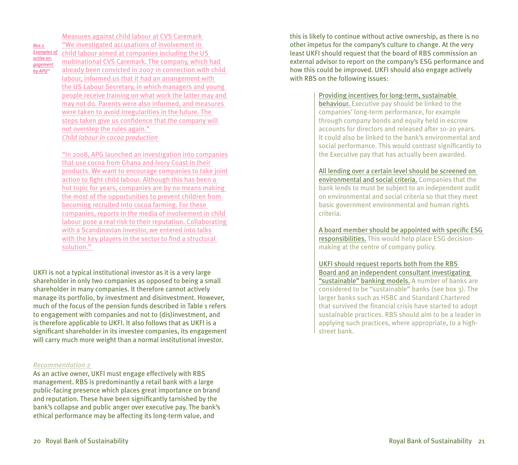*Box 2 Examples of active engagement by APG20*

Measures against child labour at CVS Caremark "We investigated accusations of involvement in child labour aimed at companies including the US multinational CVS Caremark. The company, which had already been convicted in 2007 in connection with child labour, informed us that it had an arrangement with the US Labour Secretary, in which managers and young people receive training on what work the latter may and may not do. Parents were also informed, and measures were taken to avoid irregularities in the future. The steps taken give us confidence that the company will not overstep the rules again." *Child labour in cocoa production*

"In 2008, APG launched an investigation into companies that use cocoa from Ghana and Ivory Coast in their products. We want to encourage companies to take joint action to fight child labour. Although this has been a hot topic for years, companies are by no means making the most of the opportunities to prevent children from becoming recruited into cocoa farming. For these companies, reports in the media of involvement in child labour pose a real risk to their reputation. Collaborating with a Scandinavian investor, we entered into talks with the key players in the sector to find a structural solution."

UKFI is not a typical institutional investor as it is a very large shareholder in only two companies as opposed to being a small shareholder in many companies. It therefore cannot actively manage its portfolio, by investment and disinvestment. However, much of the focus of the pension funds described in Table 1 refers to engagement with companies and not to (dis)investment, and is therefore applicable to UKFI. It also follows that as UKFI is a significant shareholder in its investee companies, its engagement will carry much more weight than a normal institutional investor.

#### *Recommendation 2*

As an active owner, UKFI must engage effectively with RBS management. RBS is predominantly a retail bank with a large public-facing presence which places great importance on brand and reputation. These have been significantly tarnished by the bank's collapse and public anger over executive pay. The bank's ethical performance may be affecting its long-term value, and

this is likely to continue without active ownership, as there is no other impetus for the company's culture to change. At the very least UKFI should request that the board of RBS commission an external advisor to report on the company's ESG performance and how this could be improved. UKFI should also engage actively with RBS on the following issues:

#### Providing incentives for long-term, sustainable

behaviour. Executive pay should be linked to the companies' long-term performance, for example through company bonds and equity held in escrow accounts for directors and released after 10-20 years. It could also be linked to the bank's environmental and social performance. This would contrast significantly to the Executive pay that has actually been awarded.

All lending over a certain level should be screened on environmental and social criteria. Companies that the bank lends to must be subject to an independent audit on environmental and social criteria so that they meet basic government environmental and human rights criteria.

A board member should be appointed with specific ESG responsibilities. This would help place ESG decisionmaking at the centre of company policy.

UKFI should request reports both from the RBS Board and an independent consultant investigating "sustainable" banking models. A number of banks are considered to be "sustainable" banks (see box 3). The larger banks such as HSBC and Standard Chartered that survived the financial crisis have started to adopt sustainable practices. RBS should aim to be a leader in applying such practices, where appropriate, to a highstreet bank.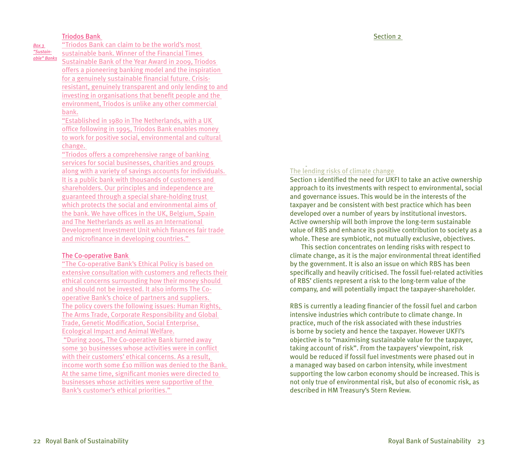#### Triodos Bank

*Box 3 "Sustainable" Banks* "Triodos Bank can claim to be the world's most sustainable bank. Winner of the Financial Times Sustainable Bank of the Year Award in 2009, Triodos offers a pioneering banking model and the inspiration for a genuinely sustainable financial future. Crisisresistant, genuinely transparent and only lending to and investing in organisations that benefit people and the environment, Triodos is unlike any other commercial bank.

"Established in 1980 in The Netherlands, with a UK office following in 1995, Triodos Bank enables money to work for positive social, environmental and cultural change.

"Triodos offers a comprehensive range of banking services for social businesses, charities and groups along with a variety of savings accounts for individuals. It is a public bank with thousands of customers and shareholders. Our principles and independence are guaranteed through a special share-holding trust which protects the social and environmental aims of the bank. We have offices in the UK, Belgium, Spain and The Netherlands as well as an International Development Investment Unit which finances fair trade and microfinance in developing countries."

#### The Co-operative Bank

"The Co-operative Bank's Ethical Policy is based on extensive consultation with customers and reflects their ethical concerns surrounding how their money should and should not be invested. It also informs The Cooperative Bank's choice of partners and suppliers. The policy covers the following issues: Human Rights, The Arms Trade, Corporate Responsibility and Global Trade, Genetic Modification, Social Enterprise, Ecological Impact and Animal Welfare. "During 2005, The Co-operative Bank turned away some 30 businesses whose activities were in conflict with their customers' ethical concerns. As a result, income worth some £10 million was denied to the Bank. At the same time, significant monies were directed to businesses whose activities were supportive of the Bank's customer's ethical priorities."

# The lending risks of climate change

Section 1 identified the need for UKFI to take an active ownership approach to its investments with respect to environmental, social and governance issues. This would be in the interests of the taxpayer and be consistent with best practice which has been developed over a number of years by institutional investors. Active ownership will both improve the long-term sustainable value of RBS and enhance its positive contribution to society as a whole. These are symbiotic, not mutually exclusive, objectives.

This section concentrates on lending risks with respect to climate change, as it is the major environmental threat identified by the government. It is also an issue on which RBS has been specifically and heavily criticised. The fossil fuel-related activities of RBS' clients represent a risk to the long-term value of the company, and will potentially impact the taxpayer-shareholder.

RBS is currently a leading financier of the fossil fuel and carbon intensive industries which contribute to climate change. In practice, much of the risk associated with these industries is borne by society and hence the taxpayer. However UKFI's objective is to "maximising sustainable value for the taxpayer, taking account of risk". From the taxpayers' viewpoint, risk would be reduced if fossil fuel investments were phased out in a managed way based on carbon intensity, while investment supporting the low carbon economy should be increased. This is not only true of environmental risk, but also of economic risk, as described in HM Treasury's Stern Review.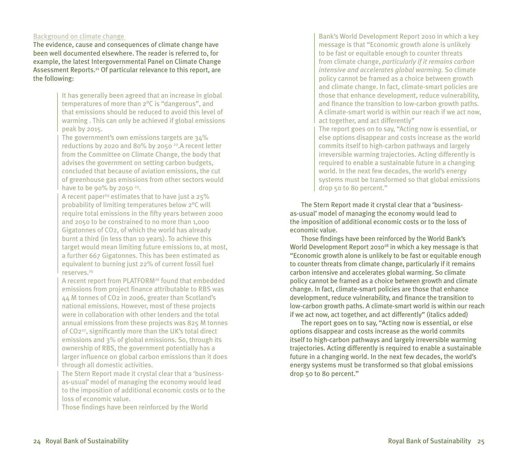# Background on climate change

The evidence, cause and consequences of climate change have been well documented elsewhere. The reader is referred to, for example, the latest Intergovernmental Panel on Climate Change Assessment Reports.<sup>21</sup> Of particular relevance to this report, are the following:

> It has generally been agreed that an increase in global temperatures of more than 2°C is "dangerous", and that emissions should be reduced to avoid this level of warming . This can only be achieved if global emissions peak by 2015.

The government's own emissions targets are 34% reductions by 2020 and 80% by 2050 22.A recent letter from the Committee on Climate Change, the body that advises the government on setting carbon budgets, concluded that because of aviation emissions, the cut of greenhouse gas emissions from other sectors would have to be 90% by 2050 $23$ .

A recent paper<sup>24</sup> estimates that to have just a  $25\%$ probability of limiting temperatures below 2°C will require total emissions in the fifty years between 2000 and 2050 to be constrained to no more than 1,000 Gigatonnes of CO2, of which the world has already burnt a third (in less than 10 years). To achieve this target would mean limiting future emissions to, at most, a further 667 Gigatonnes. This has been estimated as equivalent to burning just 22% of current fossil fuel reserves.25

A recent report from PLATFORM26 found that embedded emissions from project finance attributable to RBS was 44 M tonnes of CO2 in 2006, greater than Scotland's national emissions. However, most of these projects were in collaboration with other lenders and the total annual emissions from these projects was 825 M tonnes of CO227, significantly more than the UK's total direct emissions and 3% of global emissions. So, through its ownership of RBS, the government potentially has a larger influence on global carbon emissions than it does through all domestic activities.

The Stern Report made it crystal clear that a 'businessas-usual' model of managing the economy would lead to the imposition of additional economic costs or to the loss of economic value.

Those findings have been reinforced by the World

Bank's World Development Report 2010 in which a key message is that "Economic growth alone is unlikely to be fast or equitable enough to counter threats from climate change, *particularly if it remains carbon intensive and accelerates global warming.* So climate policy cannot be framed as a choice between growth and climate change. In fact, climate-smart policies are those that enhance development, reduce vulnerability, and finance the transition to low-carbon growth paths. A climate-smart world is within our reach if we act now, act together, and act differently"

The report goes on to say, "Acting now is essential, or else options disappear and costs increase as the world commits itself to high-carbon pathways and largely irreversible warming trajectories. Acting differently is required to enable a sustainable future in a changing world. In the next few decades, the world's energy systems must be transformed so that global emissions drop 50 to 80 percent."

The Stern Report made it crystal clear that a 'businessas-usual' model of managing the economy would lead to the imposition of additional economic costs or to the loss of economic value.

Those findings have been reinforced by the World Bank's World Development Report 2010<sup>28</sup> in which a key message is that "Economic growth alone is unlikely to be fast or equitable enough to counter threats from climate change, particularly if it remains carbon intensive and accelerates global warming. So climate policy cannot be framed as a choice between growth and climate change. In fact, climate-smart policies are those that enhance development, reduce vulnerability, and finance the transition to low-carbon growth paths. A climate-smart world is within our reach if we act now, act together, and act differently" (italics added)

The report goes on to say, "Acting now is essential, or else options disappear and costs increase as the world commits itself to high-carbon pathways and largely irreversible warming trajectories. Acting differently is required to enable a sustainable future in a changing world. In the next few decades, the world's energy systems must be transformed so that global emissions drop 50 to 80 percent."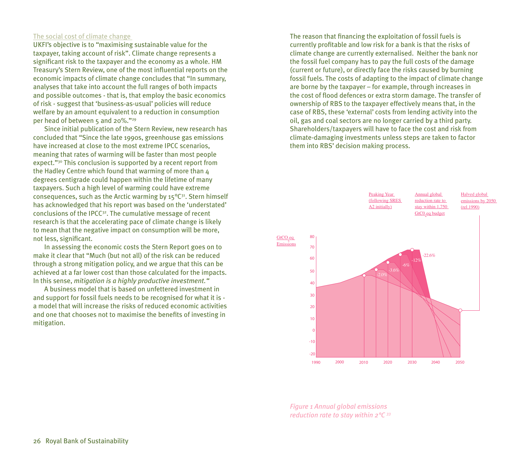# The social cost of climate change

UKFI's objective is to "maximising sustainable value for the taxpayer, taking account of risk". Climate change represents a significant risk to the taxpayer and the economy as a whole. HM Treasury's Stern Review, one of the most influential reports on the economic impacts of climate change concludes that "In summary, analyses that take into account the full ranges of both impacts and possible outcomes - that is, that employ the basic economics of risk - suggest that 'business-as-usual' policies will reduce welfare by an amount equivalent to a reduction in consumption per head of between 5 and 20%."29

Since initial publication of the Stern Review, new research has concluded that "Since the late 1990s, greenhouse gas emissions have increased at close to the most extreme IPCC scenarios, meaning that rates of warming will be faster than most people expect."30 This conclusion is supported by a recent report from the Hadley Centre which found that warming of more than 4 degrees centigrade could happen within the lifetime of many taxpayers. Such a high level of warming could have extreme consequences, such as the Arctic warming by  $15^{\circ}C^{31}$ . Stern himself has acknowledged that his report was based on the 'understated' conclusions of the IPCC32. The cumulative message of recent research is that the accelerating pace of climate change is likely to mean that the negative impact on consumption will be more, not less, significant.

In assessing the economic costs the Stern Report goes on to make it clear that "Much (but not all) of the risk can be reduced through a strong mitigation policy, and we argue that this can be achieved at a far lower cost than those calculated for the impacts. In this sense, *mitigation is a highly productive investment."*

A business model that is based on unfettered investment in and support for fossil fuels needs to be recognised for what it is a model that will increase the risks of reduced economic activities and one that chooses not to maximise the benefits of investing in mitigation.

The reason that financing the exploitation of fossil fuels is currently profitable and low risk for a bank is that the risks of climate change are currently externalised. Neither the bank nor the fossil fuel company has to pay the full costs of the damage (current or future), or directly face the risks caused by burning fossil fuels. The costs of adapting to the impact of climate change are borne by the taxpayer – for example, through increases in the cost of flood defences or extra storm damage. The transfer of ownership of RBS to the taxpayer effectively means that, in the case of RBS, these 'external' costs from lending activity into the oil, gas and coal sectors are no longer carried by a third party. Shareholders/taxpayers will have to face the cost and risk from climate-damaging investments unless steps are taken to factor them into RBS' decision making process.



*Figure 1 Annual global emissions reduction rate to stay within 2°C 33*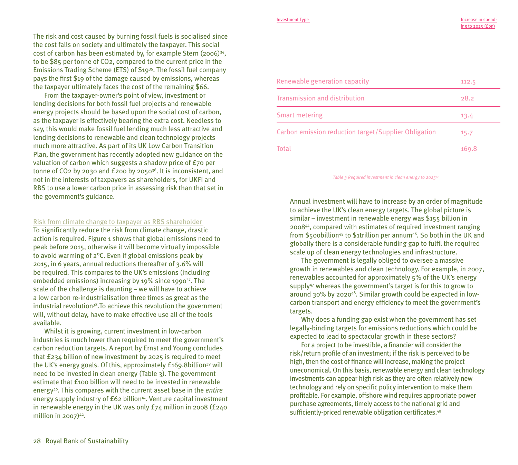The risk and cost caused by burning fossil fuels is socialised since the cost falls on society and ultimately the taxpayer. This social cost of carbon has been estimated by, for example Stern (2006)34, to be \$85 per tonne of CO2, compared to the current price in the Emissions Trading Scheme (ETS) of \$1935. The fossil fuel company pays the first \$19 of the damage caused by emissions, whereas the taxpayer ultimately faces the cost of the remaining \$66.

From the taxpayer-owner's point of view, investment or lending decisions for both fossil fuel projects and renewable energy projects should be based upon the social cost of carbon, as the taxpayer is effectively bearing the extra cost. Needless to say, this would make fossil fuel lending much less attractive and lending decisions to renewable and clean technology projects much more attractive. As part of its UK Low Carbon Transition Plan, the government has recently adopted new guidance on the valuation of carbon which suggests a shadow price of £70 per tonne of CO2 by 2030 and £200 by 205036. It is inconsistent, and not in the interests of taxpayers as shareholders, for UKFI and RBS to use a lower carbon price in assessing risk than that set in the government's guidance.

#### Risk from climate change to taxpayer as RBS shareholder

To significantly reduce the risk from climate change, drastic action is required. Figure 1 shows that global emissions need to peak before 2015, otherwise it will become virtually impossible to avoid warming of 2°C. Even if global emissions peak by 2015, in 6 years, annual reductions thereafter of 3.6% will be required. This compares to the UK's emissions (including embedded emissions) increasing by 19% since 199037. The scale of the challenge is daunting – we will have to achieve a low carbon re-industrialisation three times as great as the industrial revolution38.To achieve this revolution the government will, without delay, have to make effective use all of the tools available.

Whilst it is growing, current investment in low-carbon industries is much lower than required to meet the government's carbon reduction targets. A report by Ernst and Young concludes that £234 billion of new investment by 2025 is required to meet the UK's energy goals. Of this, approximately £169.8billion<sup>39</sup> will need to be invested in clean energy (Table 3). The government estimate that £100 billion will need to be invested in renewable energy40. This compares with the current asset base in the *entire*  energy supply industry of £62 billion<sup>41</sup>. Venture capital investment in renewable energy in the UK was only £74 million in 2008 (£240 million in  $2007$ <sup>42</sup>.

# Renewable generation capacity Transmission and distribution Smart metering Carbon emission reduction target/Supplier Obligation Total 112.5 28.2 13.4 15.7 169.8

*Table 3 Required investment in clean energy to 202543*

Annual investment will have to increase by an order of magnitude to achieve the UK's clean energy targets. The global picture is similar – investment in renewable energy was \$155 billion in 200844, compared with estimates of required investment ranging from \$500 billion<sup>45</sup> to \$1trillion per annum<sup>46</sup>. So both in the UK and globally there is a considerable funding gap to fulfil the required scale up of clean energy technologies and infrastructure.

The government is legally obliged to oversee a massive growth in renewables and clean technology. For example, in 2007, renewables accounted for approximately 5% of the UK's energy supply47 whereas the government's target is for this to grow to around 30% by 202048. Similar growth could be expected in lowcarbon transport and energy efficiency to meet the government's targets.

Why does a funding gap exist when the government has set legally-binding targets for emissions reductions which could be expected to lead to spectacular growth in these sectors?

For a project to be investible, a financier will consider the risk/return profile of an investment; if the risk is perceived to be high, then the cost of finance will increase, making the project uneconomical. On this basis, renewable energy and clean technology investments can appear high risk as they are often relatively new technology and rely on specific policy intervention to make them profitable. For example, offshore wind requires appropriate power purchase agreements, timely access to the national grid and sufficiently-priced renewable obligation certificates.49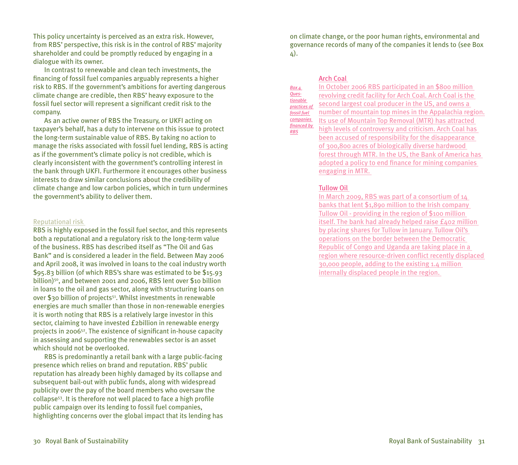This policy uncertainty is perceived as an extra risk. However, from RBS' perspective, this risk is in the control of RBS' majority shareholder and could be promptly reduced by engaging in a dialogue with its owner.

In contrast to renewable and clean tech investments, the financing of fossil fuel companies arguably represents a higher risk to RBS. If the government's ambitions for averting dangerous climate change are credible, then RBS' heavy exposure to the fossil fuel sector will represent a significant credit risk to the company.

As an active owner of RBS the Treasury, or UKFI acting on taxpayer's behalf, has a duty to intervene on this issue to protect the long-term sustainable value of RBS. By taking no action to manage the risks associated with fossil fuel lending, RBS is acting as if the government's climate policy is not credible, which is clearly inconsistent with the government's controlling interest in the bank through UKFI. Furthermore it encourages other business interests to draw similar conclusions about the credibility of climate change and low carbon policies, which in turn undermines the government's ability to deliver them.

#### Reputational risk

RBS is highly exposed in the fossil fuel sector, and this represents both a reputational and a regulatory risk to the long-term value of the business. RBS has described itself as "The Oil and Gas Bank" and is considered a leader in the field. Between May 2006 and April 2008, it was involved in loans to the coal industry worth \$95.83 billion (of which RBS's share was estimated to be \$15.93 billion)<sup>50</sup>, and between 2001 and 2006, RBS lent over \$10 billion in loans to the oil and gas sector, along with structuring loans on over \$30 billion of projects<sup>51</sup>. Whilst investments in renewable energies are much smaller than those in non-renewable energies it is worth noting that RBS is a relatively large investor in this sector, claiming to have invested £2billion in renewable energy projects in 200652. The existence of significant in-house capacity in assessing and supporting the renewables sector is an asset which should not be overlooked.

RBS is predominantly a retail bank with a large public-facing presence which relies on brand and reputation. RBS' public reputation has already been highly damaged by its collapse and subsequent bail-out with public funds, along with widespread publicity over the pay of the board members who oversaw the collapse53. It is therefore not well placed to face a high profile public campaign over its lending to fossil fuel companies, highlighting concerns over the global impact that its lending has on climate change, or the poor human rights, environmental and governance records of many of the companies it lends to (see Box 4).

#### Arch Coal

*Box 4 Questionable practices of fossil fuel companies financed by RBS*

In October 2006 RBS participated in an \$800 million revolving credit facility for Arch Coal. Arch Coal is the second largest coal producer in the US, and owns a number of mountain top mines in the Appalachia region. Its use of Mountain Top Removal (MTR) has attracted high levels of controversy and criticism. Arch Coal has been accused of responsibility for the disappearance of 300,800 acres of biologically diverse hardwood forest through MTR. In the US, the Bank of America has adopted a policy to end finance for mining companies engaging in MTR.

#### Tullow Oil

In March 2009, RBS was part of a consortium of 14 banks that lent \$1,890 million to the Irish company Tullow Oil - providing in the region of \$100 million itself. The bank had already helped raise  $f_{402}$  million by placing shares for Tullow in January. Tullow Oil's operations on the border between the Democratic Republic of Congo and Uganda are taking place in a region where resource-driven conflict recently displaced 30,000 people, adding to the existing 1.4 million internally displaced people in the region.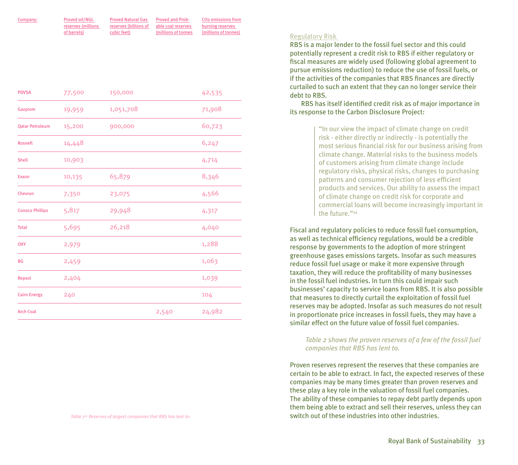| Company: | Proved oil/NGL     | <b>Proved Natural Gas</b>                | <b>Proved and Prob-</b> | CO <sub>2</sub> emissions from |
|----------|--------------------|------------------------------------------|-------------------------|--------------------------------|
|          | reserves (millions | reserves (billions of able coal reserves |                         | burning reserves               |
|          | of barrels)        | cubic feet)                              | millions of tonnes      | (millions of tonnes)           |

| 1,051,708<br>71,908<br>19,959<br>60,723<br><b>Qatar Petroleum</b><br>15,200<br>900,000<br>6,247<br>14,448<br>10,903<br>4,714<br>65,879<br>8,346<br>10,135<br>4,566<br>7,350<br>23,075<br>5,817<br>29,948<br>4,317<br>26,218<br>5,695<br>4,040<br>1,288<br>2,979<br>1,063<br>2,459<br>1,039<br>2,404<br>240<br>104<br>24,982<br>2,540 | <b>PDVSA</b>           | 77,500 | 150,000 | 42,535 |
|--------------------------------------------------------------------------------------------------------------------------------------------------------------------------------------------------------------------------------------------------------------------------------------------------------------------------------------|------------------------|--------|---------|--------|
|                                                                                                                                                                                                                                                                                                                                      | Gazprom                |        |         |        |
|                                                                                                                                                                                                                                                                                                                                      |                        |        |         |        |
|                                                                                                                                                                                                                                                                                                                                      | Rosneft                |        |         |        |
|                                                                                                                                                                                                                                                                                                                                      | Shell                  |        |         |        |
|                                                                                                                                                                                                                                                                                                                                      | Exxon                  |        |         |        |
|                                                                                                                                                                                                                                                                                                                                      | Chevron                |        |         |        |
|                                                                                                                                                                                                                                                                                                                                      | <b>Conoco Phillips</b> |        |         |        |
|                                                                                                                                                                                                                                                                                                                                      | <b>Total</b>           |        |         |        |
|                                                                                                                                                                                                                                                                                                                                      | <b>OXY</b>             |        |         |        |
|                                                                                                                                                                                                                                                                                                                                      | <b>BG</b>              |        |         |        |
|                                                                                                                                                                                                                                                                                                                                      | Repsol                 |        |         |        |
|                                                                                                                                                                                                                                                                                                                                      | <b>Cairn Energy</b>    |        |         |        |
|                                                                                                                                                                                                                                                                                                                                      | <b>Arch Coal</b>       |        |         |        |

# Regulatory Risk

RBS is a major lender to the fossil fuel sector and this could potentially represent a credit risk to RBS if either regulatory or fiscal measures are widely used (following global agreement to pursue emissions reduction) to reduce the use of fossil fuels, or if the activities of the companies that RBS finances are directly curtailed to such an extent that they can no longer service their debt to RBS.

RBS has itself identified credit risk as of major importance in its response to the Carbon Disclosure Project:

> "In our view the impact of climate change on credit risk - either directly or indirectly - is potentially the most serious financial risk for our business arising from climate change. Material risks to the business models of customers arising from climate change include regulatory risks, physical risks, changes to purchasing patterns and consumer rejection of less efficient products and services. Our ability to assess the impact of climate change on credit risk for corporate and commercial loans will become increasingly important in the future."54

Fiscal and regulatory policies to reduce fossil fuel consumption, as well as technical efficiency regulations, would be a credible response by governments to the adoption of more stringent greenhouse gases emissions targets. Insofar as such measures reduce fossil fuel usage or make it more expensive through taxation, they will reduce the profitability of many businesses in the fossil fuel industries. In turn this could impair such businesses' capacity to service loans from RBS. It is also possible that measures to directly curtail the exploitation of fossil fuel reserves may be adopted. Insofar as such measures do not result in proportionate price increases in fossil fuels, they may have a similar effect on the future value of fossil fuel companies.

#### *Table 2 shows the proven reserves of a few of the fossil fuel companies that RBS has lent to.*

Proven reserves represent the reserves that these companies are certain to be able to extract. In fact, the expected reserves of these companies may be many times greater than proven reserves and these play a key role in the valuation of fossil fuel companies. The ability of these companies to repay debt partly depends upon them being able to extract and sell their reserves, unless they can switch out of these industries into other industries.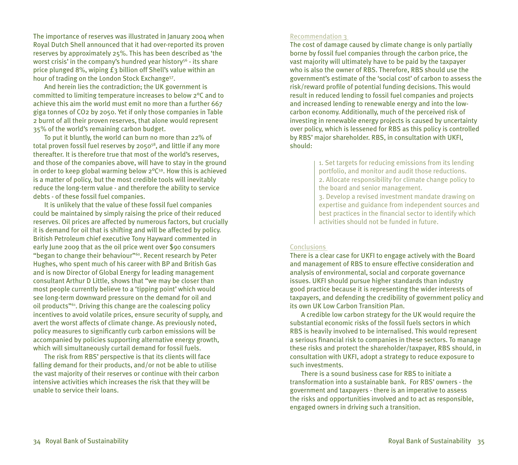The importance of reserves was illustrated in January 2004 when Royal Dutch Shell announced that it had over-reported its proven reserves by approximately 25%. This has been described as 'the worst crisis' in the company's hundred year history<sup>56</sup> - its share price plunged 8%, wiping £3 billion off Shell's value within an hour of trading on the London Stock Exchange57.

And herein lies the contradiction; the UK government is committed to limiting temperature increases to below 2°C and to achieve this aim the world must emit no more than a further 667 giga tonnes of CO2 by 2050. Yet if only those companies in Table 2 burnt of all their proven reserves, that alone would represent 35% of the world's remaining carbon budget.

To put it bluntly, the world can burn no more than 22% of total proven fossil fuel reserves by 205058, and little if any more thereafter. It is therefore true that most of the world's reserves, and those of the companies above, will have to stay in the ground in order to keep global warming below  $2^{\circ}C^{59}$ . How this is achieved is a matter of policy, but the most credible tools will inevitably reduce the long-term value - and therefore the ability to service debts - of these fossil fuel companies.

It is unlikely that the value of these fossil fuel companies could be maintained by simply raising the price of their reduced reserves. Oil prices are affected by numerous factors, but crucially it is demand for oil that is shifting and will be affected by policy. British Petroleum chief executive Tony Hayward commented in early June 2009 that as the oil price went over \$90 consumers "began to change their behaviour"<sup>60</sup>. Recent research by Peter Hughes, who spent much of his career with BP and British Gas and is now Director of Global Energy for leading management consultant Arthur D Little, shows that "we may be closer than most people currently believe to a 'tipping point' which would see long-term downward pressure on the demand for oil and oil products"61. Driving this change are the coalescing policy incentives to avoid volatile prices, ensure security of supply, and avert the worst affects of climate change. As previously noted, policy measures to significantly curb carbon emissions will be accompanied by policies supporting alternative energy growth, which will simultaneously curtail demand for fossil fuels.

The risk from RBS' perspective is that its clients will face falling demand for their products, and/or not be able to utilise the vast majority of their reserves or continue with their carbon intensive activities which increases the risk that they will be unable to service their loans.

# Recommendation 3

The cost of damage caused by climate change is only partially borne by fossil fuel companies through the carbon price, the vast majority will ultimately have to be paid by the taxpayer who is also the owner of RBS. Therefore, RBS should use the government's estimate of the 'social cost' of carbon to assess the risk/reward profile of potential funding decisions. This would result in reduced lending to fossil fuel companies and projects and increased lending to renewable energy and into the lowcarbon economy. Additionally, much of the perceived risk of investing in renewable energy projects is caused by uncertainty over policy, which is lessened for RBS as this policy is controlled by RBS' major shareholder. RBS, in consultation with UKFI, should:

> 1. Set targets for reducing emissions from its lending portfolio, and monitor and audit those reductions. 2. Allocate responsibility for climate change policy to the board and senior management.

3. Develop a revised investment mandate drawing on expertise and guidance from independent sources and best practices in the financial sector to identify which activities should not be funded in future.

# **Conclusions**

There is a clear case for UKFI to engage actively with the Board and management of RBS to ensure effective consideration and analysis of environmental, social and corporate governance issues. UKFI should pursue higher standards than industry good practice because it is representing the wider interests of taxpayers, and defending the credibility of government policy and its own UK Low Carbon Transition Plan.

A credible low carbon strategy for the UK would require the substantial economic risks of the fossil fuels sectors in which RBS is heavily involved to be internalised. This would represent a serious financial risk to companies in these sectors. To manage these risks and protect the shareholder/taxpayer, RBS should, in consultation with UKFI, adopt a strategy to reduce exposure to such investments.

There is a sound business case for RBS to initiate a transformation into a sustainable bank. For RBS' owners - the government and taxpayers - there is an imperative to assess the risks and opportunities involved and to act as responsible, engaged owners in driving such a transition.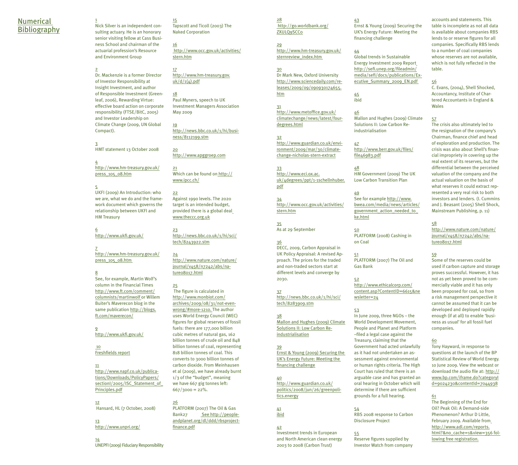#### Numerical **Bibliography**

1 Nick Silver is an independent consulting actuary. He is an honorary senior visiting fellow at Cass Business School and chairman of the actuarial profession's Resource and Environment Group

2 Dr. Mackenzie is a former Director of Investor Responsibility at Insight Investment, and author of Responsible Investment (Greenleaf, 2006), Rewarding Virtue: effective board action on corporate responsibility (FTSE/BitC, 2005) and Investor Leadership on Climate Change (2009, UN Global Compact).

3 HMT statement 13 October 2008

4 http://www.hm-treasury.gov.uk/ press\_105\_08.htm

5 UKFI (2009) An Introduction: who we are, what we do and the framework document which governs the relationship between UKFI and HM Treasury

6 http://www.ukfi.gov.uk/

7 http://www.hm-treasury.gov.uk/ press\_105\_08.htm

8 See, for example, Martin Wolf's column in the Financial Times http://www.ft.com/comment/ columnists/martinwolf or Willem Buiter's Maverecon blog in the same publication http://blogs. ft.com/maverecon/

 $\alpha$ http://www.ukfi.gov.uk/

 10 Freshfields report

11 http://www.napf.co.uk/publications/Downloads/PolicyPapers/ sectionI/2005/ISC\_Statement\_of Principles.pdf

12 Hansard, HL (7 October, 2008)

13 http://www.unpri.org/

14 UNEPFI (2009) Fiduciary Responsibility

15 Tapscott and Ticoll (2003) The Naked Corporation

16 http://www.occ.gov.uk/activities/ stern.htm

1<mark>7</mark><br>http://www.hm-treasury.gov. uk/d/1( $\triangle$ ).pdf

18 Paul Myners, speech to UK Investment Managers Association May 2009

19 http://news.bbc.co.uk/1/hi/business/8112199.stm

20 http://www.apggroep.com

21 Which can be found on http:// www.ipcc.ch/

22 Against 1990 levels. The 2020 target is an intended budget, provided there is a global deal www.theccc.org.uk

23 http://news.bbc.co.uk/1/hi/sci/ tech/8243922.stm

24 http://www.nature.com/nature/ journal/v458/n7242/abs/nature08017.html

25 The figure is calculated in http://www.monbiot.com/ archives/2009/08/31/not-evenwrong/#more-1210. The author uses World Energy Council (WEC) figures for global reserves of fossil fuels: there are 177,000 billion cubic metres of natural gas, 162 billion tonnes of crude oil and 848 billion tonnes of coal, representing 818 billion tonnes of coal. This converts to 3000 billion tonnes of carbon dioxide. From Meinhausen et al (2009), we have already burnt 1/3 of the "budget", meaning we have 667 gig tonnes left:  $667/3000 = 22%$ 

26 PLATFORM (2007) The Oil & Gas Bank27 See http://peopleandplanet.org/dl/ddd/rbsprojectfinance.pdf

28 http://go.worldbank.org/ **ZXULOgSCCo** 

29 http://www.hm-treasury.gov.uk/ sternreview index.htm

43

44

45 ibid

47

48

49

ke.html 50

on Coal 51

Gas Bank 52

wsletter=24

53

file46983.pdf

Ernst & Young (2009) Securing the UK's Energy Future: Meeting the financing challenge

Global trends in Sustainable Energy Investment 2009 Report http://sefi.unep.org/fileadmin/ media/sefi/docs/publications/Executive\_Summary\_2009\_EN.pdf

46 Mallon and Hughes (2009) Climate Solutions II: Low Carbon Reindustrialisation

http://www.berr.gov.uk/files/

HM Government (2009) The UK Low Carbon Transition Plan

See for example http://www. bwea.com/media/news/articles/ government\_action\_needed\_to\_

PLATFORM (2008) Cashing in

PLATFORM (2007) The Oil and

http://www.ethicalcorp.com/ content.asp?ContentID=6615&ne

In June 2009, three NGOs – the World Development Movement, People and Planet and Platform –filed a legal case against the Treasury, claiming that the Government had acted unlawfully as it had not undertaken an assessment against environmental or human rights criteria. The High Court has ruled that there is an arguable case and has granted an oral hearing in October which will determine if there are sufficient grounds for a full hearing.

RBS 2008 response to Carbon Disclosure Project

30 Dr Mark New, Oxford University http://www.sciencedaily.com/releases/2009/09/090930174655. htm

31 http://www.metoffice.gov.uk/ climatechange/news/latest/fourdegrees.html

32 http://www.guardian.co.uk/environment/2009/mar/30/climatechange-nicholas-stern-extract

33 http://www.eci.ox.ac. uk/4degrees/ppt/1-1schellnhuber. pdf

34 http://www.occ.gov.uk/activities/ stern.htm

35 As at 29 September

36 DECC, 2009, Carbon Appraisal in UK Policy Appraisal: A revised Approach. The prices for the traded and non-traded sectors start at

different levels and converge by 2030. 37 http://news.bbc.co.uk/1/hi/sci/

tech/8283909.stm 38 Mallon and Hughes (2009) Climate

Solutions II: Low Carbon Reindustrialisation 39 Ernst & Young (2009) Securing the

40 http://www.guardian.co.uk/ politics/2008/jun/26/greenpolitics.energy

41

Investment trends in European and North American clean energy 2003 to 2008 (Carbon Trust)

Reserve figures supplied by Investor Watch from company

54

55

accounts and statements. This table is incomplete as not all data is available about companies RBS lends to or reserve figures for all companies. Specifically RBS lends to a number of coal companies whose reserves are not available, which is not fully reflected in the table.

56 C. Evans, (2004), Shell Shocked, Accountancy, Institute of Chartered Accountants in England & Wales

57

The crisis also ultimately led to the resignation of the company's Chairman, finance chief and head of exploration and production. The crisis was also about Shell's financial impropriety in covering up the real extent of its reserves, but the differential between the perceived valuation of the company and the actual valuation on the basis of what reserves it could extract represented a very real risk to both investors and lenders. (I. Cummins and J. Beasant (2005) Shell Shock, Mainstream Publishing, p. 11)

#### 58

http://www.nature.com/nature/ journal/v458/n7242/abs/nature08017.html

#### 59

Some of the reserves could be used if carbon capture and storage proves successful. However, it has not as yet been proved to be commercially viable and it has only been proposed for coal, so from a risk management perspective it cannot be assumed that it can be developed and deployed rapidly enough (if at all) to enable 'business as usual' for all fossil fuel companies.

#### 60

Tony Hayward, in response to questions at the launch of the BP Statistical Review of World Energy. 10 June 2009. View the webcast or download the audio file at: http:// www.bp.com/iframe.do?categoryI d=9024230&contentId=7044938

61

The Beginning of the End for Oil? Peak Oil: A Demand-side Phenomenon? Arthur D Little, February 2009. Available from http://www.adl.com/reports. html?&no\_cache=1&view=356 following free registration.

# UK's Energy Future: Meeting the financing challenge

ibid 42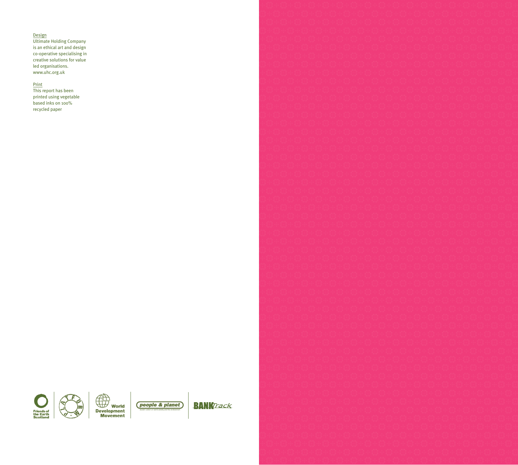#### Design

Ultimate Holding Company is an ethical art and design co-operative specialising in creative solutions for value led organisations. www.uhc.org.uk

#### Print

This report has been printed using vegetable based inks on 100% recycled paper